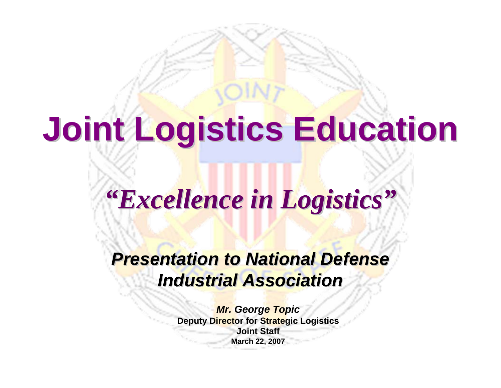**Joint Logistics Education Joint Logistics Education**

## *"Excellence in Logistics Excellence in Logistics "*

### **Presentation to National Defense** *Industrial Association Industrial Association*

*Mr. George Topic* **Deputy Director for Strategic Logistics Joint StaffMarch 22, 2007**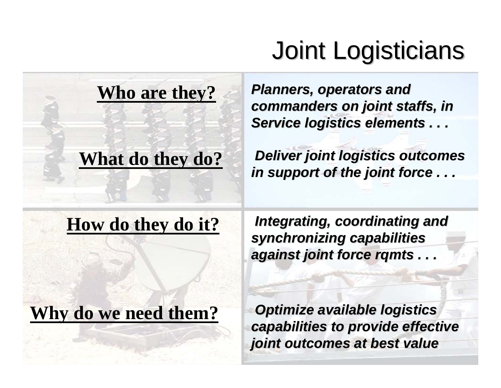## Joint Logisticians Joint Logisticians

#### **Who are they?**

### **What do they do?**

**Planners, operators and** *commanders on joint staffs, in commanders on joint staffs, in*  **Service logistics elements . . .** 

*Deliver joint logistics outcomes* in support of the joint force . . .

#### **How do they do it?**

Integrating, coordinating and *synchronizing capabilities synchronizing capabilities against joint force rqmts . . .* 

### **Why do we need them?**

**Optimize available logistics** *capabilities to provide effective capabilities to provide effective joint outcomes at best value joint outcomes at best value*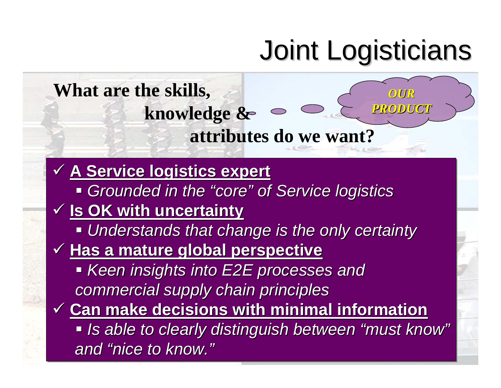## Joint Logisticians Joint Logisticians

#### **What are the skills, knowledge & attributes do we want?** 9 **A Service logistics expert** 9 **A Service logistics expert A Service logistics expert**  $\blacksquare$  Grounded in the "core" of Service logistics 9 **Is OK with uncertainty** 9 **Is OK with uncertainty Is OK with uncertainty**  $\blacksquare$  **Understands that change is the only certainty** 9 **Has a mature global perspective** 9 **Has a mature global perspective Has a mature global perspective** *Keen insights into E2E processes and Keen insights into E2E processes and Keen insights into E2E processes and commercial supply chain principles commercial supply chain principles commercial supply chain principles* 9 **Can make decisions with minimal information** 9 **Can make decisions with minimal information Can make decisions with minimal information**  $\blacksquare$  **Is able to clearly distinguish between "must know"** *and "nice to know." and "nice to know. nice to know. "" of Service logistics of Service logistics OUR PRODUCT PRODUCT*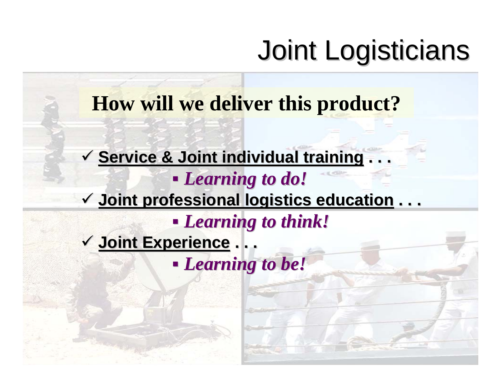## Joint Logisticians Joint Logisticians

**How will we deliver this product?**

 $\checkmark$  Service & Joint individual training  $\ldots$  *Learning to do! Learning to do!* 9 **Joint professional logistics education Joint professional logistics education . . .** *Learning to think! Learning to think!* 9 **Joint Experience Joint Experience . . .** *Learning to be! Learning to be!*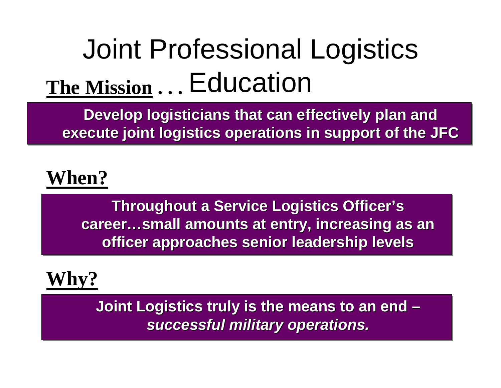## Joint Professional Logistics Education **The Mission . . .**

Develop logisticians that can effectively plan and **execute joint logistics operations in support of the JFC execute joint logistics operations in support of the JFC execute joint logistics operations in support of the JFC**

### **When?**

**Throughout a Service Logistics Officer's Throughout a Service Logistics Officer's Throughout a Service Logistics Officer's career…small amounts at entry, increasing as an career…small amounts at entry, increasing as an career…small amounts at entry, increasing as an officer approaches senior leadership levels officer approaches senior leadership levels officer approaches senior leadership levels** 

### **Why?**

Joint Logistics truly is the means to an end **–** *successful military operations. successful military operations. successful military operations.* **–**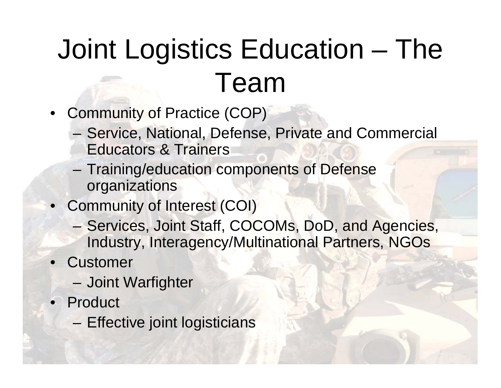# Joint Logistics Education – The Team

- Community of Practice (COP)
	- – Service, National, Defense, Private and Commercial Educators & Trainers
	- – Training/education components of Defense organizations
- Community of Interest (COI)
	- – Services, Joint Staff, COCOMs, DoD, and Agencies, Industry, Interagency/Multinational Partners, NGOs
- Customer
	- –Joint Warfighter
- Product
	- –Effective joint logisticians